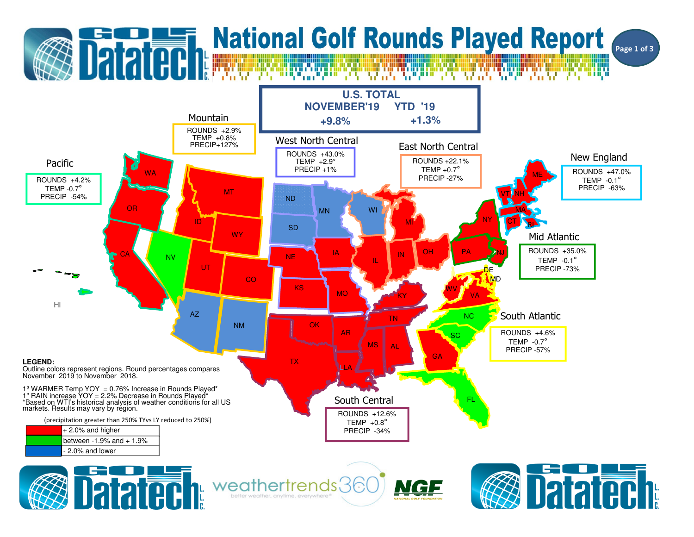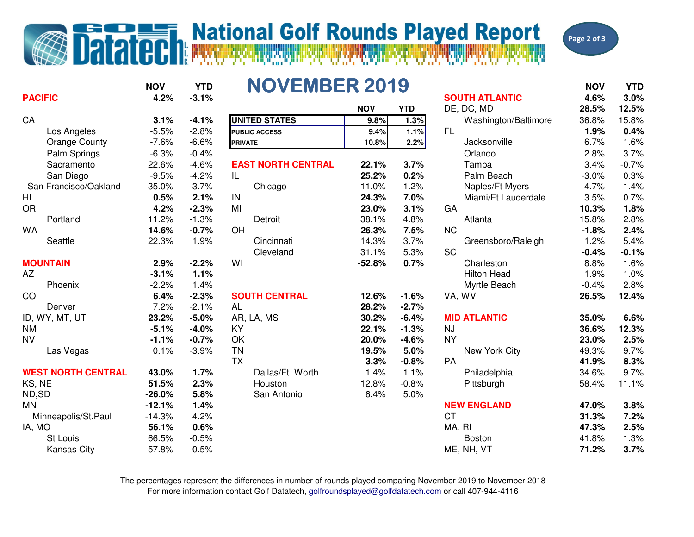## **Datated National Golf Rounds Played Report**



| <b>PACIFIC</b>            | <b>NOV</b><br>4.2% | <b>YTD</b><br>$-3.1%$ | <b>NOVEMBER 2019</b>      |            |            | <b>SOUTH ATLANTIC</b> | <b>NOV</b><br>4.6% | <b>YTD</b><br>3.0% |
|---------------------------|--------------------|-----------------------|---------------------------|------------|------------|-----------------------|--------------------|--------------------|
|                           |                    |                       |                           | <b>NOV</b> | <b>YTD</b> | DE, DC, MD            | 28.5%              | 12.5%              |
| CA                        | 3.1%               | $-4.1%$               | <b>UNITED STATES</b>      | 9.8%       | 1.3%       | Washington/Baltimore  | 36.8%              | 15.8%              |
| Los Angeles               | $-5.5%$            | $-2.8%$               | <b>PUBLIC ACCESS</b>      | 9.4%       | 1.1%       | <b>FL</b>             | 1.9%               | 0.4%               |
| <b>Orange County</b>      | $-7.6%$            | $-6.6%$               | <b>PRIVATE</b>            | 10.8%      | 2.2%       | Jacksonville          | 6.7%               | 1.6%               |
| Palm Springs              | $-6.3%$            | $-0.4%$               |                           |            |            | Orlando               | 2.8%               | 3.7%               |
| Sacramento                | 22.6%              | $-4.6%$               | <b>EAST NORTH CENTRAL</b> | 22.1%      | 3.7%       | Tampa                 | 3.4%               | $-0.7%$            |
| San Diego                 | $-9.5%$            | $-4.2%$               | IL                        | 25.2%      | 0.2%       | Palm Beach            | $-3.0%$            | 0.3%               |
| San Francisco/Oakland     | 35.0%              | $-3.7%$               | Chicago                   | 11.0%      | $-1.2%$    | Naples/Ft Myers       | 4.7%               | 1.4%               |
| H <sub>l</sub>            | 0.5%               | 2.1%                  | IN                        | 24.3%      | 7.0%       | Miami/Ft.Lauderdale   | 3.5%               | 0.7%               |
| <b>OR</b>                 | 4.2%               | $-2.3%$               | MI                        | 23.0%      | 3.1%       | GA                    | 10.3%              | 1.8%               |
| Portland                  | 11.2%              | $-1.3%$               | Detroit                   | 38.1%      | 4.8%       | Atlanta               | 15.8%              | 2.8%               |
| <b>WA</b>                 | 14.6%              | $-0.7%$               | OH                        | 26.3%      | 7.5%       | <b>NC</b>             | $-1.8%$            | 2.4%               |
| Seattle                   | 22.3%              | 1.9%                  | Cincinnati                | 14.3%      | 3.7%       | Greensboro/Raleigh    | 1.2%               | 5.4%               |
|                           |                    |                       | Cleveland                 | 31.1%      | 5.3%       | <b>SC</b>             | $-0.4%$            | $-0.1%$            |
| <b>MOUNTAIN</b>           | 2.9%               | $-2.2%$               | WI                        | $-52.8%$   | 0.7%       | Charleston            | 8.8%               | 1.6%               |
| AZ                        | $-3.1%$            | 1.1%                  |                           |            |            | <b>Hilton Head</b>    | 1.9%               | 1.0%               |
| Phoenix                   | $-2.2%$            | 1.4%                  |                           |            |            | Myrtle Beach          | $-0.4%$            | 2.8%               |
| CO                        | 6.4%               | $-2.3%$               | <b>SOUTH CENTRAL</b>      | 12.6%      | $-1.6%$    | VA, WV                | 26.5%              | 12.4%              |
| Denver                    | 7.2%               | $-2.1%$               | <b>AL</b>                 | 28.2%      | $-2.7%$    |                       |                    |                    |
| ID, WY, MT, UT            | 23.2%              | $-5.0%$               | AR, LA, MS                | 30.2%      | $-6.4%$    | <b>MID ATLANTIC</b>   | 35.0%              | 6.6%               |
| <b>NM</b>                 | $-5.1%$            | $-4.0%$               | KY                        | 22.1%      | $-1.3%$    | <b>NJ</b>             | 36.6%              | 12.3%              |
| <b>NV</b>                 | $-1.1%$            | $-0.7%$               | OK                        | 20.0%      | $-4.6%$    | <b>NY</b>             | 23.0%              | 2.5%               |
| Las Vegas                 | 0.1%               | $-3.9%$               | <b>TN</b>                 | 19.5%      | 5.0%       | New York City         | 49.3%              | 9.7%               |
|                           |                    |                       | <b>TX</b>                 | 3.3%       | $-0.8%$    | <b>PA</b>             | 41.9%              | 8.3%               |
| <b>WEST NORTH CENTRAL</b> | 43.0%              | 1.7%                  | Dallas/Ft. Worth          | 1.4%       | 1.1%       | Philadelphia          | 34.6%              | 9.7%               |
| KS, NE                    | 51.5%              | 2.3%                  | Houston                   | 12.8%      | $-0.8%$    | Pittsburgh            | 58.4%              | 11.1%              |
| ND,SD                     | $-26.0%$           | 5.8%                  | San Antonio               | 6.4%       | 5.0%       |                       |                    |                    |
| <b>MN</b>                 | $-12.1%$           | 1.4%                  |                           |            |            | <b>NEW ENGLAND</b>    | 47.0%              | 3.8%               |
| Minneapolis/St.Paul       | $-14.3%$           | 4.2%                  |                           |            |            | <b>CT</b>             | 31.3%              | 7.2%               |
| IA, MO                    | 56.1%              | 0.6%                  |                           |            |            | MA, RI                | 47.3%              | 2.5%               |
| St Louis                  | 66.5%              | $-0.5%$               |                           |            |            | <b>Boston</b>         | 41.8%              | 1.3%               |
| <b>Kansas City</b>        | 57.8%              | $-0.5%$               |                           |            |            | ME, NH, VT            | 71.2%              | 3.7%               |

For more information contact Golf Datatech, golfroundsplayed@golfdatatech.com or call 407-944-4116The percentages represent the differences in number of rounds played comparing November 2019 to November 2018